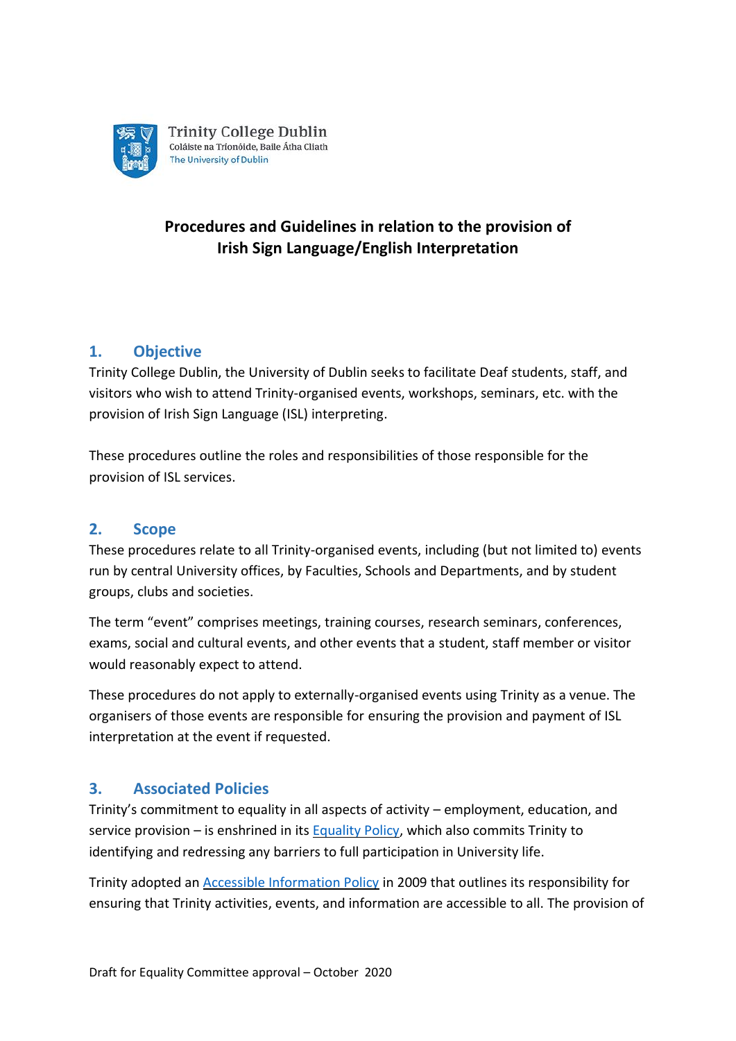

# **Procedures and Guidelines in relation to the provision of Irish Sign Language/English Interpretation**

## **1. Objective**

Trinity College Dublin, the University of Dublin seeks to facilitate Deaf students, staff, and visitors who wish to attend Trinity-organised events, workshops, seminars, etc. with the provision of Irish Sign Language (ISL) interpreting.

These procedures outline the roles and responsibilities of those responsible for the provision of ISL services.

### **2. Scope**

These procedures relate to all Trinity-organised events, including (but not limited to) events run by central University offices, by Faculties, Schools and Departments, and by student groups, clubs and societies.

The term "event" comprises meetings, training courses, research seminars, conferences, exams, social and cultural events, and other events that a student, staff member or visitor would reasonably expect to attend.

These procedures do not apply to externally-organised events using Trinity as a venue. The organisers of those events are responsible for ensuring the provision and payment of ISL interpretation at the event if requested.

### **3. Associated Policies**

Trinity's commitment to equality in all aspects of activity – employment, education, and service provision – is enshrined in its [Equality Policy,](http://www.tcd.ie/equality/assets/docs/EqualityPolicyRevised2016.pdf) which also commits Trinity to identifying and redressing any barriers to full participation in University life.

Trinity adopted an [Accessible Information Policy](http://www.tcd.ie/about/policies/accessible-info-policy.php) in 2009 that outlines its responsibility for ensuring that Trinity activities, events, and information are accessible to all. The provision of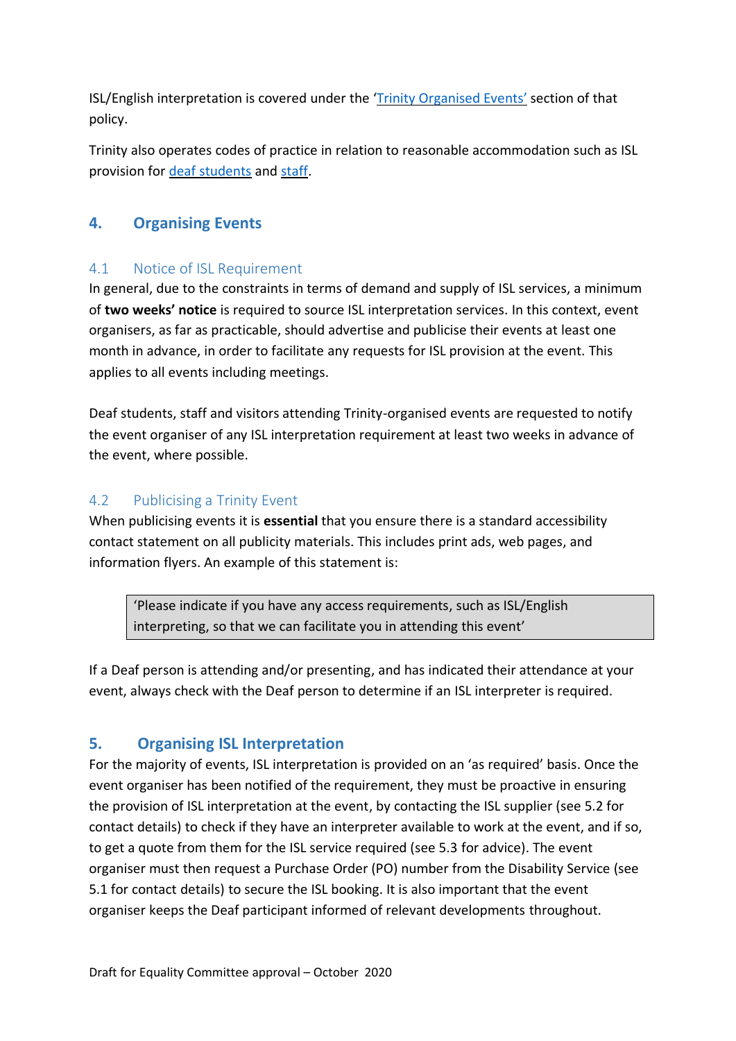ISL/English interpretation is covered under the 'Trinity [Organised Events](http://www.tcd.ie/about/policies/accessible-info-policy.php#events)' section of that policy.

Trinity also operates codes of practice in relation to reasonable accommodation such as ISL provision for [deaf students](http://www.tcd.ie/disability/current/Code-of-practice.php) and [staff.](http://www.tcd.ie/about/policies/employment_of_people_with_disabilities.php)

### **4. Organising Events**

### 4.1 Notice of ISL Requirement

In general, due to the constraints in terms of demand and supply of ISL services, a minimum of **two weeks' notice** is required to source ISL interpretation services. In this context, event organisers, as far as practicable, should advertise and publicise their events at least one month in advance, in order to facilitate any requests for ISL provision at the event. This applies to all events including meetings.

Deaf students, staff and visitors attending Trinity-organised events are requested to notify the event organiser of any ISL interpretation requirement at least two weeks in advance of the event, where possible.

#### 4.2 Publicising a Trinity Event

When publicising events it is **essential** that you ensure there is a standard accessibility contact statement on all publicity materials. This includes print ads, web pages, and information flyers. An example of this statement is:

'Please indicate if you have any access requirements, such as ISL/English interpreting, so that we can facilitate you in attending this event'

If a Deaf person is attending and/or presenting, and has indicated their attendance at your event, always check with the Deaf person to determine if an ISL interpreter is required.

### **5. Organising ISL Interpretation**

For the majority of events, ISL interpretation is provided on an 'as required' basis. Once the event organiser has been notified of the requirement, they must be proactive in ensuring the provision of ISL interpretation at the event, by contacting the ISL supplier (see 5.2 for contact details) to check if they have an interpreter available to work at the event, and if so, to get a quote from them for the ISL service required (see 5.3 for advice). The event organiser must then request a Purchase Order (PO) number from the Disability Service (see 5.1 for contact details) to secure the ISL booking. It is also important that the event organiser keeps the Deaf participant informed of relevant developments throughout.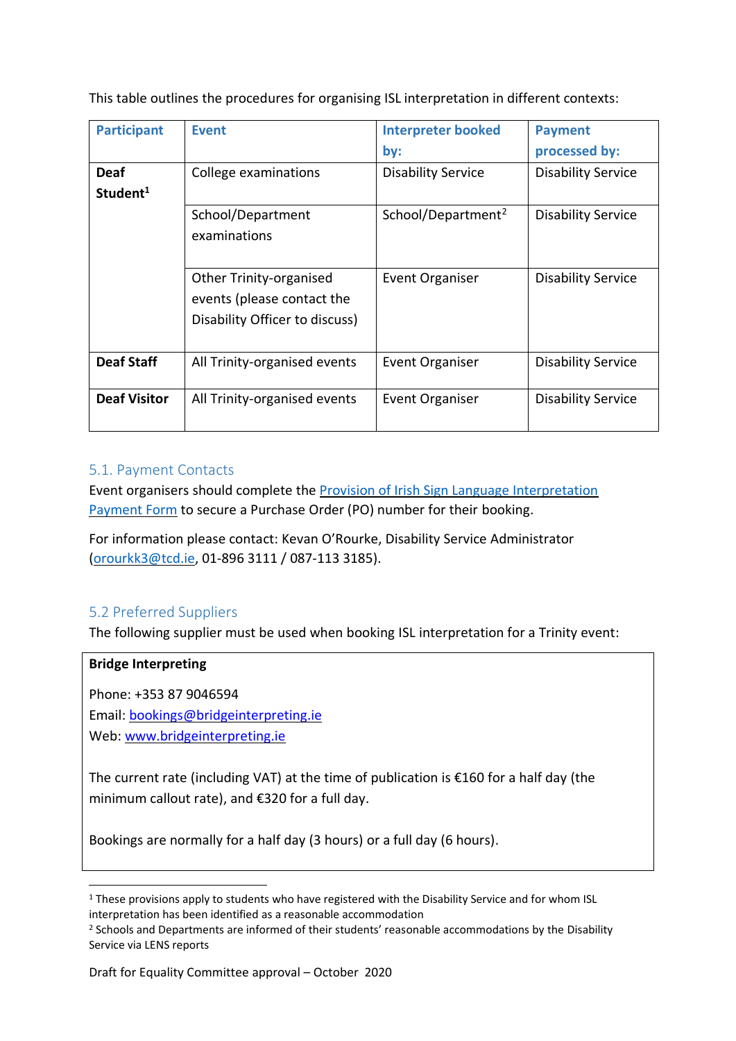This table outlines the procedures for organising ISL interpretation in different contexts:

| <b>Participant</b>                  | <b>Event</b>                                                                            | <b>Interpreter booked</b><br>by: | <b>Payment</b><br>processed by: |
|-------------------------------------|-----------------------------------------------------------------------------------------|----------------------------------|---------------------------------|
| <b>Deaf</b><br>Student <sup>1</sup> | College examinations                                                                    | <b>Disability Service</b>        | <b>Disability Service</b>       |
|                                     | School/Department<br>examinations                                                       | School/Department <sup>2</sup>   | <b>Disability Service</b>       |
|                                     | Other Trinity-organised<br>events (please contact the<br>Disability Officer to discuss) | Event Organiser                  | <b>Disability Service</b>       |
| <b>Deaf Staff</b>                   | All Trinity-organised events                                                            | <b>Event Organiser</b>           | <b>Disability Service</b>       |
| <b>Deaf Visitor</b>                 | All Trinity-organised events                                                            | Event Organiser                  | <b>Disability Service</b>       |

#### 5.1. Payment Contacts

Event organisers should complete the [Provision of Irish Sign Language Interpretation](https://forms.office.com/Pages/ResponsePage.aspx?id=jb6V1Qaz9EWAZJ5bgvvlK7UPRENAShJNqQacMObOyxVUQ0tQRDNXOU1VVklPV0tZR0dPUjBPMUxXMi4u)  [Payment Form](https://forms.office.com/Pages/ResponsePage.aspx?id=jb6V1Qaz9EWAZJ5bgvvlK7UPRENAShJNqQacMObOyxVUQ0tQRDNXOU1VVklPV0tZR0dPUjBPMUxXMi4u) to secure a Purchase Order (PO) number for their booking.

For information please contact: Kevan O'Rourke, Disability Service Administrator [\(orourkk3@tcd.ie,](mailto:orourkk3@tcd.ie) 01-896 3111 / 087-113 3185).

### 5.2 Preferred Suppliers

The following supplier must be used when booking ISL interpretation for a Trinity event:

#### **Bridge Interpreting**

Phone: +353 87 9046594 Email: [bookings@bridgeinterpreting.ie](mailto:bookings@bridgeinterpreting.ie)

Web: www.bridgeinterpreting.ie

The current rate (including VAT) at the time of publication is  $\epsilon$ 160 for a half day (the minimum callout rate), and €320 for a full day.

Bookings are normally for a half day (3 hours) or a full day (6 hours).

<sup>&</sup>lt;sup>1</sup> These provisions apply to students who have registered with the Disability Service and for whom ISL interpretation has been identified as a reasonable accommodation

<sup>&</sup>lt;sup>2</sup> Schools and Departments are informed of their students' reasonable accommodations by the Disability Service via LENS reports